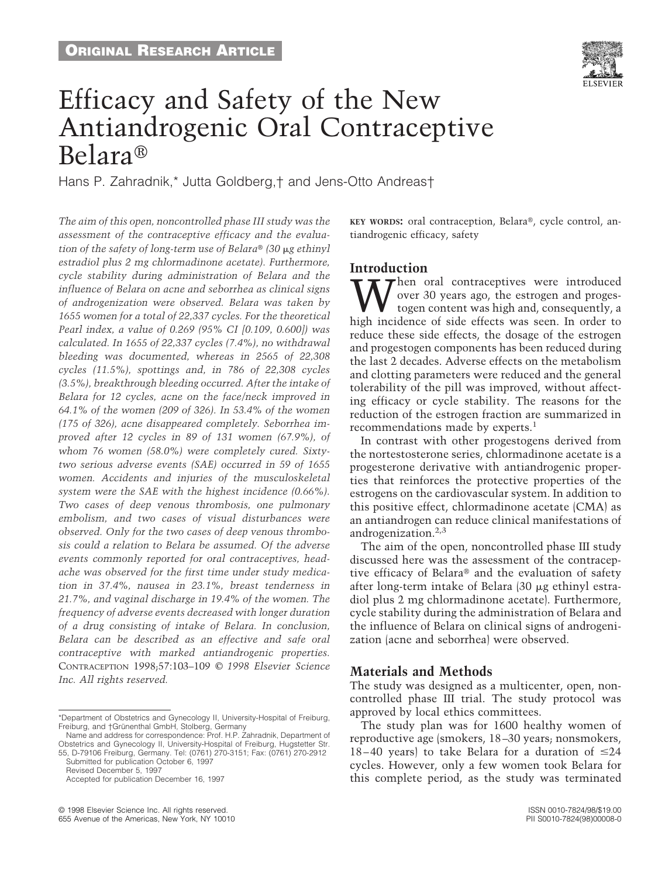

# Efficacy and Safety of the New Antiandrogenic Oral Contraceptive Belara<sup>®</sup>

Hans P. Zahradnik,\* Jutta Goldberg,† and Jens-Otto Andreas†

*The aim of this open, noncontrolled phase III study was the assessment of the contraceptive efficacy and the evaluation of the safety of long-term use of Belara*<sup>®</sup> (30  $\mu$ g ethinyl *estradiol plus 2 mg chlormadinone acetate). Furthermore, cycle stability during administration of Belara and the influence of Belara on acne and seborrhea as clinical signs of androgenization were observed. Belara was taken by 1655 women for a total of 22,337 cycles. For the theoretical Pearl index, a value of 0.269 (95% CI [0.109, 0.600]) was calculated. In 1655 of 22,337 cycles (7.4%), no withdrawal bleeding was documented, whereas in 2565 of 22,308 cycles (11.5%), spottings and, in 786 of 22,308 cycles (3.5%), breakthrough bleeding occurred. After the intake of Belara for 12 cycles, acne on the face/neck improved in 64.1% of the women (209 of 326). In 53.4% of the women (175 of 326), acne disappeared completely. Seborrhea improved after 12 cycles in 89 of 131 women (67.9%), of whom 76 women (58.0%) were completely cured. Sixtytwo serious adverse events (SAE) occurred in 59 of 1655 women. Accidents and injuries of the musculoskeletal system were the SAE with the highest incidence (0.66%). Two cases of deep venous thrombosis, one pulmonary embolism, and two cases of visual disturbances were observed. Only for the two cases of deep venous thrombosis could a relation to Belara be assumed. Of the adverse events commonly reported for oral contraceptives, headache was observed for the first time under study medication in 37.4%, nausea in 23.1%, breast tenderness in 21.7%, and vaginal discharge in 19.4% of the women. The frequency of adverse events decreased with longer duration of a drug consisting of intake of Belara. In conclusion, Belara can be described as an effective and safe oral contraceptive with marked antiandrogenic properties.* CONTRACEPTION 1998;57:103–109 *© 1998 Elsevier Science Inc. All rights reserved.*

Submitted for publication October 6, 1997

**KEY WORDS:** oral contraception, Belara<sup>®</sup>, cycle control, antiandrogenic efficacy, safety

## **Introduction**

 $\tau$  hen oral contraceptives were introduced over 30 years ago, the estrogen and progestogen content was high and, consequently, a high incidence of side effects was seen. In order to reduce these side effects, the dosage of the estrogen and progestogen components has been reduced during the last 2 decades. Adverse effects on the metabolism and clotting parameters were reduced and the general tolerability of the pill was improved, without affecting efficacy or cycle stability. The reasons for the reduction of the estrogen fraction are summarized in recommendations made by experts.<sup>1</sup>

In contrast with other progestogens derived from the nortestosterone series, chlormadinone acetate is a progesterone derivative with antiandrogenic properties that reinforces the protective properties of the estrogens on the cardiovascular system. In addition to this positive effect, chlormadinone acetate (CMA) as an antiandrogen can reduce clinical manifestations of androgenization. $2,3$ 

The aim of the open, noncontrolled phase III study discussed here was the assessment of the contraceptive efficacy of Belara<sup>®</sup> and the evaluation of safety after long-term intake of Belara  $(30 \mu g)$  ethinyl estradiol plus 2 mg chlormadinone acetate). Furthermore, cycle stability during the administration of Belara and the influence of Belara on clinical signs of androgenization (acne and seborrhea) were observed.

### **Materials and Methods**

The study was designed as a multicenter, open, noncontrolled phase III trial. The study protocol was approved by local ethics committees.

The study plan was for 1600 healthy women of reproductive age (smokers, 18–30 years; nonsmokers, 18–40 years) to take Belara for a duration of  $\leq 24$ cycles. However, only a few women took Belara for this complete period, as the study was terminated

<sup>\*</sup>Department of Obstetrics and Gynecology II, University-Hospital of Freiburg, Freiburg, and †Grünenthal GmbH, Stolberg, Germany

Name and address for correspondence: Prof. H.P. Zahradnik, Department of Obstetrics and Gynecology II, University-Hospital of Freiburg, Hugstetter Str. 55, D-79106 Freiburg, Germany. Tel: (0761) 270-3151; Fax: (0761) 270-2912

Revised December 5, 1997

Accepted for publication December 16, 1997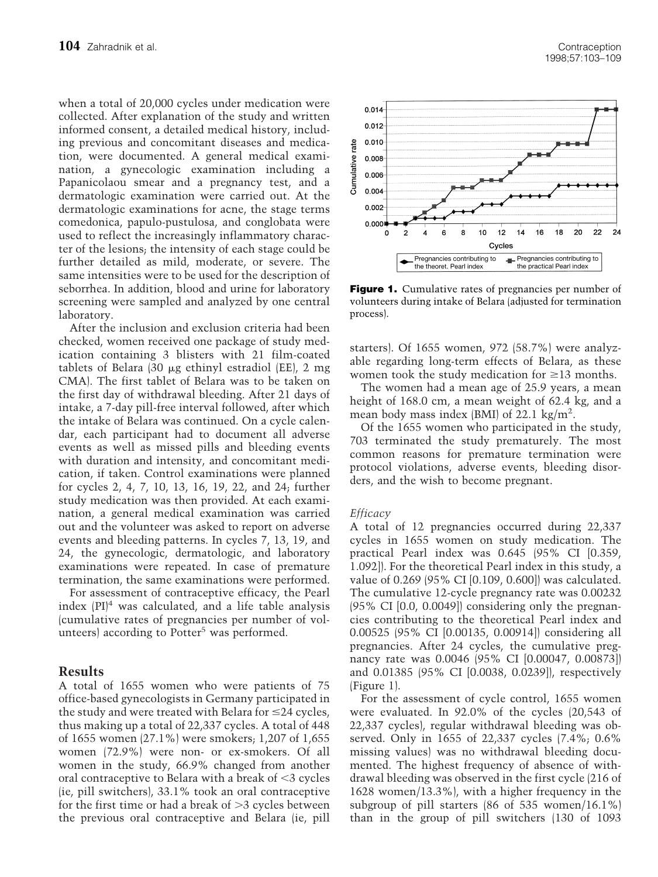when a total of 20,000 cycles under medication were collected. After explanation of the study and written informed consent, a detailed medical history, including previous and concomitant diseases and medication, were documented. A general medical examination, a gynecologic examination including a Papanicolaou smear and a pregnancy test, and a dermatologic examination were carried out. At the dermatologic examinations for acne, the stage terms comedonica, papulo-pustulosa, and conglobata were used to reflect the increasingly inflammatory character of the lesions; the intensity of each stage could be further detailed as mild, moderate, or severe. The same intensities were to be used for the description of seborrhea. In addition, blood and urine for laboratory screening were sampled and analyzed by one central laboratory.

After the inclusion and exclusion criteria had been checked, women received one package of study medication containing 3 blisters with 21 film-coated tablets of Belara  $(30 \mu g$  ethinyl estradiol (EE), 2 mg CMA). The first tablet of Belara was to be taken on the first day of withdrawal bleeding. After 21 days of intake, a 7-day pill-free interval followed, after which the intake of Belara was continued. On a cycle calendar, each participant had to document all adverse events as well as missed pills and bleeding events with duration and intensity, and concomitant medication, if taken. Control examinations were planned for cycles 2, 4, 7, 10, 13, 16, 19, 22, and 24; further study medication was then provided. At each examination, a general medical examination was carried out and the volunteer was asked to report on adverse events and bleeding patterns. In cycles 7, 13, 19, and 24, the gynecologic, dermatologic, and laboratory examinations were repeated. In case of premature termination, the same examinations were performed.

For assessment of contraceptive efficacy, the Pearl index  $[PI]^4$  was calculated, and a life table analysis (cumulative rates of pregnancies per number of volunteers) according to Potter<sup>5</sup> was performed.

# **Results**

A total of 1655 women who were patients of 75 office-based gynecologists in Germany participated in the study and were treated with Belara for  $\leq$ 24 cycles, thus making up a total of 22,337 cycles. A total of 448 of 1655 women (27.1%) were smokers; 1,207 of 1,655 women (72.9%) were non- or ex-smokers. Of all women in the study, 66.9% changed from another oral contraceptive to Belara with a break of  $\leq$ 3 cycles (ie, pill switchers), 33.1% took an oral contraceptive for the first time or had a break of  $>3$  cycles between the previous oral contraceptive and Belara (ie, pill



**Figure 1.** Cumulative rates of pregnancies per number of volunteers during intake of Belara (adjusted for termination process).

starters). Of 1655 women, 972 (58.7%) were analyzable regarding long-term effects of Belara, as these women took the study medication for  $\geq$ 13 months.

The women had a mean age of 25.9 years, a mean height of 168.0 cm, a mean weight of 62.4 kg, and a mean body mass index (BMI) of  $22.1 \text{ kg/m}^2$ .

Of the 1655 women who participated in the study, 703 terminated the study prematurely. The most common reasons for premature termination were protocol violations, adverse events, bleeding disorders, and the wish to become pregnant.

### *Efficacy*

A total of 12 pregnancies occurred during 22,337 cycles in 1655 women on study medication. The practical Pearl index was 0.645 (95% CI [0.359, 1.092]). For the theoretical Pearl index in this study, a value of 0.269 (95% CI [0.109, 0.600]) was calculated. The cumulative 12-cycle pregnancy rate was 0.00232 (95% CI [0.0, 0.0049]) considering only the pregnancies contributing to the theoretical Pearl index and 0.00525 (95% CI [0.00135, 0.00914]) considering all pregnancies. After 24 cycles, the cumulative pregnancy rate was 0.0046 (95% CI [0.00047, 0.00873]) and 0.01385 (95% CI [0.0038, 0.0239]), respectively (Figure 1).

For the assessment of cycle control, 1655 women were evaluated. In 92.0% of the cycles (20,543 of 22,337 cycles), regular withdrawal bleeding was observed. Only in 1655 of 22,337 cycles (7.4%; 0.6% missing values) was no withdrawal bleeding documented. The highest frequency of absence of withdrawal bleeding was observed in the first cycle (216 of 1628 women/13.3%), with a higher frequency in the subgroup of pill starters (86 of 535 women/16.1%) than in the group of pill switchers (130 of 1093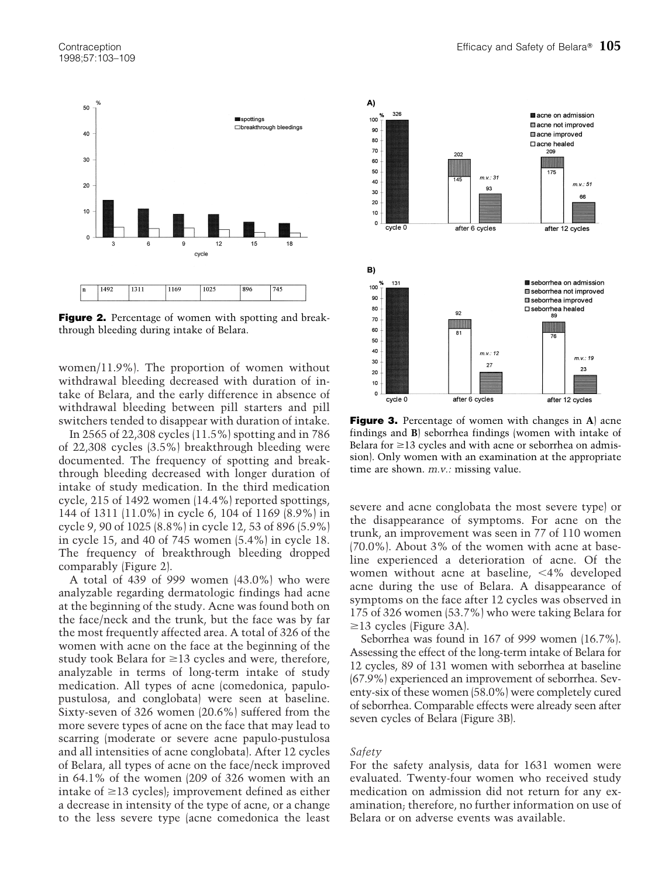

**Figure 2.** Percentage of women with spotting and breakthrough bleeding during intake of Belara.

women/11.9%). The proportion of women without withdrawal bleeding decreased with duration of intake of Belara, and the early difference in absence of withdrawal bleeding between pill starters and pill switchers tended to disappear with duration of intake.

In 2565 of 22,308 cycles (11.5%) spotting and in 786 of 22,308 cycles (3.5%) breakthrough bleeding were documented. The frequency of spotting and breakthrough bleeding decreased with longer duration of intake of study medication. In the third medication cycle, 215 of 1492 women (14.4%) reported spottings, 144 of 1311 (11.0%) in cycle 6, 104 of 1169 (8.9%) in cycle 9, 90 of 1025 (8.8%) in cycle 12, 53 of 896 (5.9%) in cycle 15, and 40 of 745 women (5.4%) in cycle 18. The frequency of breakthrough bleeding dropped comparably (Figure 2).

A total of 439 of 999 women (43.0%) who were analyzable regarding dermatologic findings had acne at the beginning of the study. Acne was found both on the face/neck and the trunk, but the face was by far the most frequently affected area. A total of 326 of the women with acne on the face at the beginning of the study took Belara for  $\geq$ 13 cycles and were, therefore, analyzable in terms of long-term intake of study medication. All types of acne (comedonica, papulopustulosa, and conglobata) were seen at baseline. Sixty-seven of 326 women (20.6%) suffered from the more severe types of acne on the face that may lead to scarring (moderate or severe acne papulo-pustulosa and all intensities of acne conglobata). After 12 cycles of Belara, all types of acne on the face/neck improved in 64.1% of the women (209 of 326 women with an intake of  $\geq$ 13 cycles); improvement defined as either a decrease in intensity of the type of acne, or a change to the less severe type (acne comedonica the least



**Figure 3.** Percentage of women with changes in **A**) acne findings and **B**) seborrhea findings (women with intake of Belara for  $\geq$  13 cycles and with acne or seborrhea on admission). Only women with an examination at the appropriate time are shown. *m.v.:* missing value.

severe and acne conglobata the most severe type) or the disappearance of symptoms. For acne on the trunk, an improvement was seen in 77 of 110 women (70.0%). About 3% of the women with acne at baseline experienced a deterioration of acne. Of the women without acne at baseline,  $\langle 4\% \rangle$  developed acne during the use of Belara. A disappearance of symptoms on the face after 12 cycles was observed in 175 of 326 women (53.7%) who were taking Belara for  $\geq$ 13 cycles (Figure 3A).

Seborrhea was found in 167 of 999 women (16.7%). Assessing the effect of the long-term intake of Belara for 12 cycles, 89 of 131 women with seborrhea at baseline (67.9%) experienced an improvement of seborrhea. Seventy-six of these women (58.0%) were completely cured of seborrhea. Comparable effects were already seen after seven cycles of Belara (Figure 3B).

#### *Safety*

For the safety analysis, data for 1631 women were evaluated. Twenty-four women who received study medication on admission did not return for any examination; therefore, no further information on use of Belara or on adverse events was available.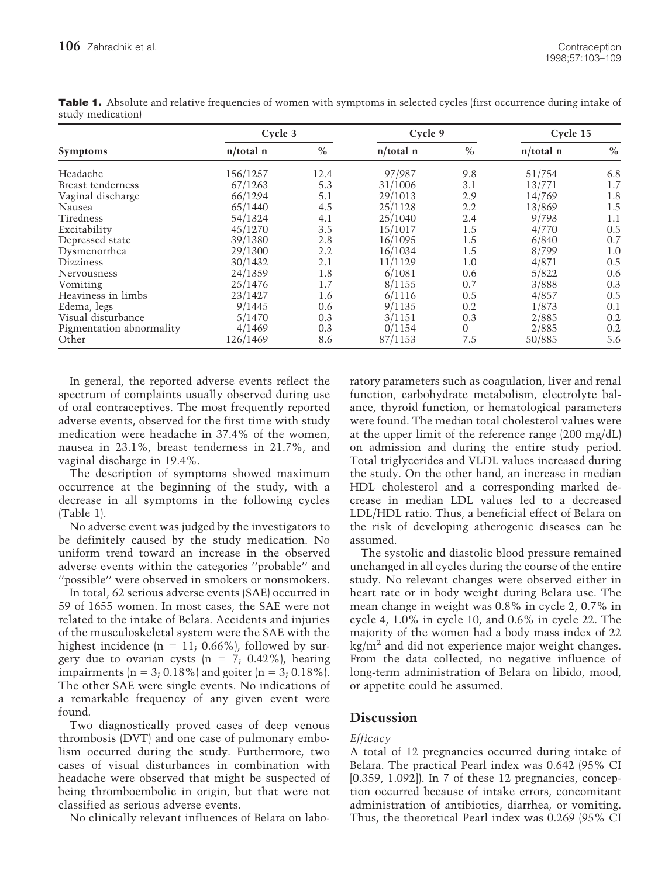| <b>Symptoms</b>          | Cycle 3      |      | Cycle 9      |          | Cycle 15     |      |
|--------------------------|--------------|------|--------------|----------|--------------|------|
|                          | $n$ /total n | $\%$ | $n$ /total n | $\%$     | $n$ /total n | $\%$ |
| Headache                 | 156/1257     | 12.4 | 97/987       | 9.8      | 51/754       | 6.8  |
| Breast tenderness        | 67/1263      | 5.3  | 31/1006      | 3.1      | 13/771       | 1.7  |
| Vaginal discharge        | 66/1294      | 5.1  | 29/1013      | 2.9      | 14/769       | 1.8  |
| Nausea                   | 65/1440      | 4.5  | 25/1128      | 2.2      | 13/869       | 1.5  |
| Tiredness                | 54/1324      | 4.1  | 25/1040      | 2.4      | 9/793        | 1.1  |
| Excitability             | 45/1270      | 3.5  | 15/1017      | 1.5      | 4/770        | 0.5  |
| Depressed state          | 39/1380      | 2.8  | 16/1095      | 1.5      | 6/840        | 0.7  |
| Dysmenorrhea             | 29/1300      | 2.2  | 16/1034      | 1.5      | 8/799        | 1.0  |
| <b>Dizziness</b>         | 30/1432      | 2.1  | 11/1129      | 1.0      | 4/871        | 0.5  |
| <b>Nervousness</b>       | 24/1359      | 1.8  | 6/1081       | 0.6      | 5/822        | 0.6  |
| Vomiting                 | 25/1476      | 1.7  | 8/1155       | 0.7      | 3/888        | 0.3  |
| Heaviness in limbs       | 23/1427      | 1.6  | 6/1116       | 0.5      | 4/857        | 0.5  |
| Edema, legs              | 9/1445       | 0.6  | 9/1135       | 0.2      | 1/873        | 0.1  |
| Visual disturbance       | 5/1470       | 0.3  | 3/1151       | 0.3      | 2/885        | 0.2  |
| Pigmentation abnormality | 4/1469       | 0.3  | 0/1154       | $\Omega$ | 2/885        | 0.2  |
| Other                    | 126/1469     | 8.6  | 87/1153      | 7.5      | 50/885       | 5.6  |

**Table 1.** Absolute and relative frequencies of women with symptoms in selected cycles (first occurrence during intake of study medication)

In general, the reported adverse events reflect the spectrum of complaints usually observed during use of oral contraceptives. The most frequently reported adverse events, observed for the first time with study medication were headache in 37.4% of the women, nausea in 23.1%, breast tenderness in 21.7%, and vaginal discharge in 19.4%.

The description of symptoms showed maximum occurrence at the beginning of the study, with a decrease in all symptoms in the following cycles (Table 1).

No adverse event was judged by the investigators to be definitely caused by the study medication. No uniform trend toward an increase in the observed adverse events within the categories ''probable'' and ''possible'' were observed in smokers or nonsmokers.

In total, 62 serious adverse events (SAE) occurred in 59 of 1655 women. In most cases, the SAE were not related to the intake of Belara. Accidents and injuries of the musculoskeletal system were the SAE with the highest incidence  $(n = 11; 0.66\%)$ , followed by surgery due to ovarian cysts  $(n = 7, 0.42\%)$ , hearing impairments  $(n = 3; 0.18\%)$  and goiter  $(n = 3; 0.18\%).$ The other SAE were single events. No indications of a remarkable frequency of any given event were found.

Two diagnostically proved cases of deep venous thrombosis (DVT) and one case of pulmonary embolism occurred during the study. Furthermore, two cases of visual disturbances in combination with headache were observed that might be suspected of being thromboembolic in origin, but that were not classified as serious adverse events.

No clinically relevant influences of Belara on labo-

ratory parameters such as coagulation, liver and renal function, carbohydrate metabolism, electrolyte balance, thyroid function, or hematological parameters were found. The median total cholesterol values were at the upper limit of the reference range (200 mg/dL) on admission and during the entire study period. Total triglycerides and VLDL values increased during the study. On the other hand, an increase in median HDL cholesterol and a corresponding marked decrease in median LDL values led to a decreased LDL/HDL ratio. Thus, a beneficial effect of Belara on the risk of developing atherogenic diseases can be assumed.

The systolic and diastolic blood pressure remained unchanged in all cycles during the course of the entire study. No relevant changes were observed either in heart rate or in body weight during Belara use. The mean change in weight was 0.8% in cycle 2, 0.7% in cycle 4, 1.0% in cycle 10, and 0.6% in cycle 22. The majority of the women had a body mass index of 22  $\text{kg/m}^2$  and did not experience major weight changes. From the data collected, no negative influence of long-term administration of Belara on libido, mood, or appetite could be assumed.

# **Discussion**

# *Efficacy*

A total of 12 pregnancies occurred during intake of Belara. The practical Pearl index was 0.642 (95% CI  $[0.359, 1.092]$ . In 7 of these 12 pregnancies, conception occurred because of intake errors, concomitant administration of antibiotics, diarrhea, or vomiting. Thus, the theoretical Pearl index was 0.269 (95% CI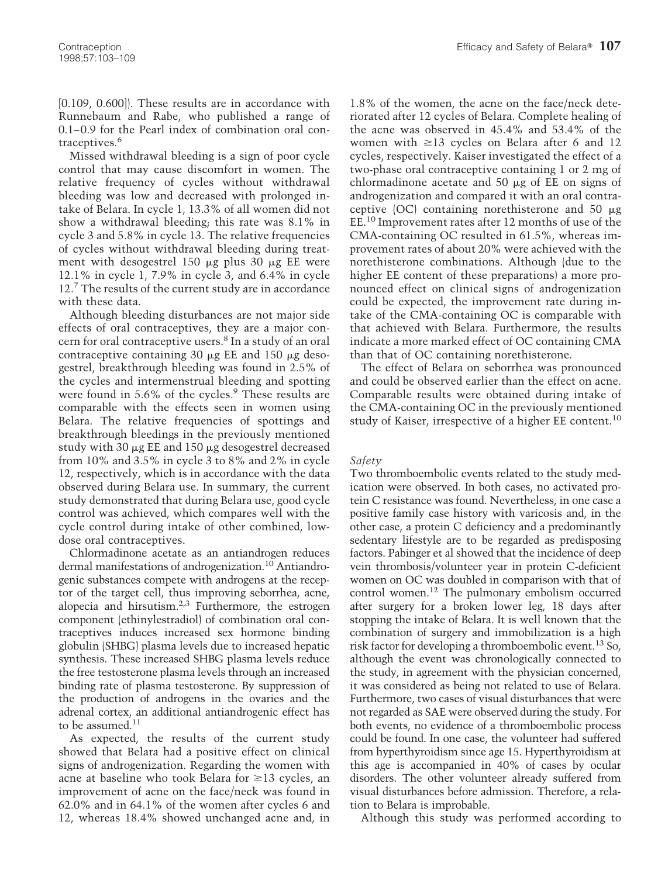[0.109, 0.600]). These results are in accordance with Runnebaum and Rabe, who published a range of 0.1–0.9 for the Pearl index of combination oral contraceptives.<sup>6</sup>

Missed withdrawal bleeding is a sign of poor cycle control that may cause discomfort in women. The relative frequency of cycles without withdrawal bleeding was low and decreased with prolonged intake of Belara. In cycle 1, 13.3% of all women did not show a withdrawal bleeding; this rate was 8.1% in cycle 3 and 5.8% in cycle 13. The relative frequencies of cycles without withdrawal bleeding during treatment with desogestrel 150  $\mu$ g plus 30  $\mu$ g EE were 12.1% in cycle 1, 7.9% in cycle 3, and 6.4% in cycle 12.<sup>7</sup> The results of the current study are in accordance with these data.

Although bleeding disturbances are not major side effects of oral contraceptives, they are a major concern for oral contraceptive users.<sup>8</sup> In a study of an oral contraceptive containing 30  $\mu$ g EE and 150  $\mu$ g desogestrel, breakthrough bleeding was found in 2.5% of the cycles and intermenstrual bleeding and spotting were found in  $5.6\%$  of the cycles.<sup>9</sup> These results are comparable with the effects seen in women using Belara. The relative frequencies of spottings and breakthrough bleedings in the previously mentioned study with 30  $\mu$ g EE and 150  $\mu$ g desogestrel decreased from 10% and 3.5% in cycle 3 to 8% and 2% in cycle 12, respectively, which is in accordance with the data observed during Belara use. In summary, the current study demonstrated that during Belara use, good cycle control was achieved, which compares well with the cycle control during intake of other combined, lowdose oral contraceptives.

Chlormadinone acetate as an antiandrogen reduces dermal manifestations of androgenization.<sup>10</sup> Antiandrogenic substances compete with androgens at the receptor of the target cell, thus improving seborrhea, acne, alopecia and hirsutism. $2,3$  Furthermore, the estrogen component (ethinylestradiol) of combination oral contraceptives induces increased sex hormone binding globulin (SHBG) plasma levels due to increased hepatic synthesis. These increased SHBG plasma levels reduce the free testosterone plasma levels through an increased binding rate of plasma testosterone. By suppression of the production of androgens in the ovaries and the adrenal cortex, an additional antiandrogenic effect has to be assumed. $11$ 

As expected, the results of the current study showed that Belara had a positive effect on clinical signs of androgenization. Regarding the women with acne at baseline who took Belara for  $\geq 13$  cycles, an improvement of acne on the face/neck was found in 62.0% and in 64.1% of the women after cycles 6 and 12, whereas 18.4% showed unchanged acne and, in

1.8% of the women, the acne on the face/neck deteriorated after 12 cycles of Belara. Complete healing of the acne was observed in 45.4% and 53.4% of the women with  $\geq$ 13 cycles on Belara after 6 and 12 cycles, respectively. Kaiser investigated the effect of a two-phase oral contraceptive containing 1 or 2 mg of chlormadinone acetate and 50  $\mu$ g of EE on signs of androgenization and compared it with an oral contraceptive (OC) containing norethisterone and 50 mg EE.10 Improvement rates after 12 months of use of the CMA-containing OC resulted in 61.5%, whereas improvement rates of about 20% were achieved with the norethisterone combinations. Although (due to the higher EE content of these preparations) a more pronounced effect on clinical signs of androgenization could be expected, the improvement rate during intake of the CMA-containing OC is comparable with that achieved with Belara. Furthermore, the results indicate a more marked effect of OC containing CMA than that of OC containing norethisterone.

The effect of Belara on seborrhea was pronounced and could be observed earlier than the effect on acne. Comparable results were obtained during intake of the CMA-containing OC in the previously mentioned study of Kaiser, irrespective of a higher EE content.<sup>10</sup>

#### *Safety*

Two thromboembolic events related to the study medication were observed. In both cases, no activated protein C resistance was found. Nevertheless, in one case a positive family case history with varicosis and, in the other case, a protein C deficiency and a predominantly sedentary lifestyle are to be regarded as predisposing factors. Pabinger et al showed that the incidence of deep vein thrombosis/volunteer year in protein C-deficient women on OC was doubled in comparison with that of control women.12 The pulmonary embolism occurred after surgery for a broken lower leg, 18 days after stopping the intake of Belara. It is well known that the combination of surgery and immobilization is a high risk factor for developing a thromboembolic event.13 So, although the event was chronologically connected to the study, in agreement with the physician concerned, it was considered as being not related to use of Belara. Furthermore, two cases of visual disturbances that were not regarded as SAE were observed during the study. For both events, no evidence of a thromboembolic process could be found. In one case, the volunteer had suffered from hyperthyroidism since age 15. Hyperthyroidism at this age is accompanied in 40% of cases by ocular disorders. The other volunteer already suffered from visual disturbances before admission. Therefore, a relation to Belara is improbable.

Although this study was performed according to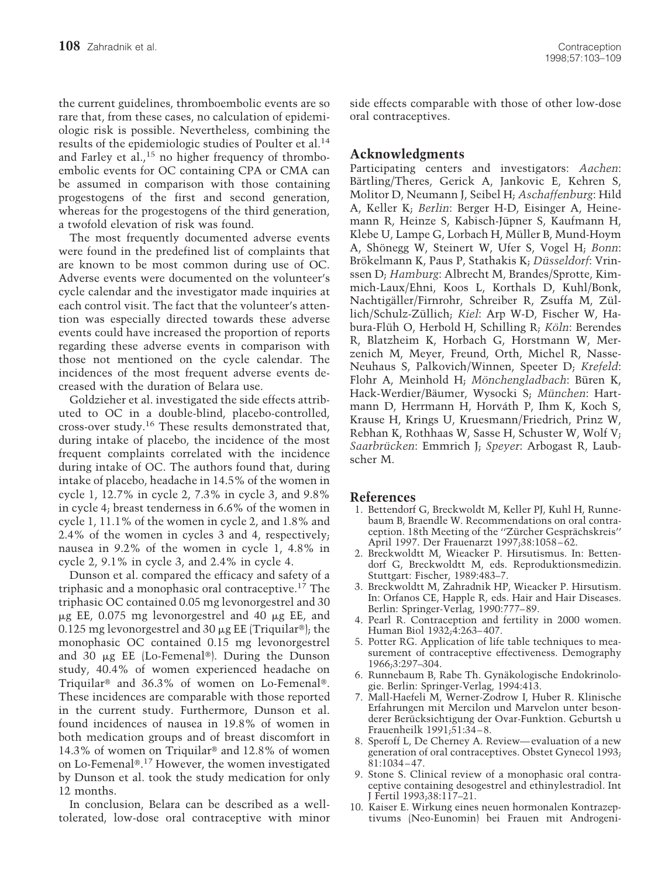the current guidelines, thromboembolic events are so rare that, from these cases, no calculation of epidemiologic risk is possible. Nevertheless, combining the results of the epidemiologic studies of Poulter et al.14 and Farley et al.,<sup>15</sup> no higher frequency of thromboembolic events for OC containing CPA or CMA can be assumed in comparison with those containing progestogens of the first and second generation, whereas for the progestogens of the third generation, a twofold elevation of risk was found.

The most frequently documented adverse events were found in the predefined list of complaints that are known to be most common during use of OC. Adverse events were documented on the volunteer's cycle calendar and the investigator made inquiries at each control visit. The fact that the volunteer's attention was especially directed towards these adverse events could have increased the proportion of reports regarding these adverse events in comparison with those not mentioned on the cycle calendar. The incidences of the most frequent adverse events decreased with the duration of Belara use.

Goldzieher et al. investigated the side effects attributed to OC in a double-blind, placebo-controlled, cross-over study.16 These results demonstrated that, during intake of placebo, the incidence of the most frequent complaints correlated with the incidence during intake of OC. The authors found that, during intake of placebo, headache in 14.5% of the women in cycle 1, 12.7% in cycle 2, 7.3% in cycle 3, and 9.8% in cycle 4; breast tenderness in 6.6% of the women in cycle 1, 11.1% of the women in cycle 2, and 1.8% and 2.4% of the women in cycles 3 and 4, respectively; nausea in 9.2% of the women in cycle 1, 4.8% in cycle 2, 9.1% in cycle 3, and 2.4% in cycle 4.

Dunson et al. compared the efficacy and safety of a triphasic and a monophasic oral contraceptive.17 The triphasic OC contained 0.05 mg levonorgestrel and 30  $\mu$ g EE, 0.075 mg levonorgestrel and 40  $\mu$ g EE, and 0.125 mg levonorgestrel and 30  $\mu$ g EE (Triquilar<sup>®</sup>); the monophasic OC contained 0.15 mg levonorgestrel and 30  $\mu$ g EE (Lo-Femenal®). During the Dunson study, 40.4% of women experienced headache on Triquilar<sup>®</sup> and 36.3% of women on Lo-Femenal<sup>®</sup>. These incidences are comparable with those reported in the current study. Furthermore, Dunson et al. found incidences of nausea in 19.8% of women in both medication groups and of breast discomfort in 14.3% of women on Triquilar<sup>®</sup> and 12.8% of women on Lo-Femenal<sup>®.17</sup> However, the women investigated by Dunson et al. took the study medication for only 12 months.

In conclusion, Belara can be described as a welltolerated, low-dose oral contraceptive with minor

# **Acknowledgments**

Participating centers and investigators: *Aachen*: Bärtling/Theres, Gerick A, Jankovic E, Kehren S, Molitor D, Neumann J, Seibel H; *Aschaffenburg*: Hild A, Keller K; *Berlin*: Berger H-D, Eisinger A, Heinemann R, Heinze S, Kabisch-Jüpner S, Kaufmann H, Klebe U, Lampe G, Lorbach H, Müller B, Mund-Hoym A, Shönegg W, Steinert W, Ufer S, Vogel H; *Bonn*: Brökelmann K, Paus P, Stathakis K; *Düsseldorf*: Vrinssen D; *Hamburg*: Albrecht M, Brandes/Sprotte, Kimmich-Laux/Ehni, Koos L, Korthals D, Kuhl/Bonk, Nachtigäller/Firnrohr, Schreiber R, Zsuffa M, Züllich/Schulz-Züllich; *Kiel*: Arp W-D, Fischer W, Habura-Flüh O, Herbold H, Schilling R; *Köln*: Berendes R, Blatzheim K, Horbach G, Horstmann W, Merzenich M, Meyer, Freund, Orth, Michel R, Nasse-Neuhaus S, Palkovich/Winnen, Speeter D; *Krefeld*: Flohr A, Meinhold H; *Mönchengladbach*: Büren K, Hack-Werdier/Bäumer, Wysocki S; München: Hartmann D, Herrmann H, Horváth P, Ihm K, Koch S, Krause H, Krings U, Kruesmann/Friedrich, Prinz W, Rebhan K, Rothhaas W, Sasse H, Schuster W, Wolf V; *Saarbru¨ cken*: Emmrich J; *Speyer*: Arbogast R, Laubscher M.

### **References**

- 1. Bettendorf G, Breckwoldt M, Keller PJ, Kuhl H, Runnebaum B, Braendle W. Recommendations on oral contraception. 18th Meeting of the "Zürcher Gesprächskreis" April 1997. Der Frauenarzt 1997;38:1058–62.
- 2. Breckwoldtt M, Wieacker P. Hirsutismus. In: Bettendorf G, Breckwoldtt M, eds. Reproduktionsmedizin. Stuttgart: Fischer, 1989:483–7.
- 3. Breckwoldtt M, Zahradnik HP, Wieacker P. Hirsutism. In: Orfanos CE, Happle R, eds. Hair and Hair Diseases. Berlin: Springer-Verlag, 1990:777–89.
- 4. Pearl R. Contraception and fertility in 2000 women. Human Biol 1932;4:263–407.
- 5. Potter RG. Application of life table techniques to measurement of contraceptive effectiveness. Demography 1966;3:297–304.
- 6. Runnebaum B, Rabe Th. Gynäkologische Endokrinologie. Berlin: Springer-Verlag, 1994:413.
- 7. Mall-Haefeli M, Werner-Zodrow I, Huber R. Klinische Erfahrungen mit Mercilon und Marvelon unter besonderer Berücksichtigung der Ovar-Funktion. Geburtsh u Frauenheilk 1991;51:34–8.
- 8. Speroff L, De Cherney A. Review—evaluation of a new generation of oral contraceptives. Obstet Gynecol 1993; 81:1034–47.
- 9. Stone S. Clinical review of a monophasic oral contraceptive containing desogestrel and ethinylestradiol. Int J Fertil 1993;38:117–21.
- 10. Kaiser E. Wirkung eines neuen hormonalen Kontrazeptivums (Neo-Eunomin) bei Frauen mit Androgeni-